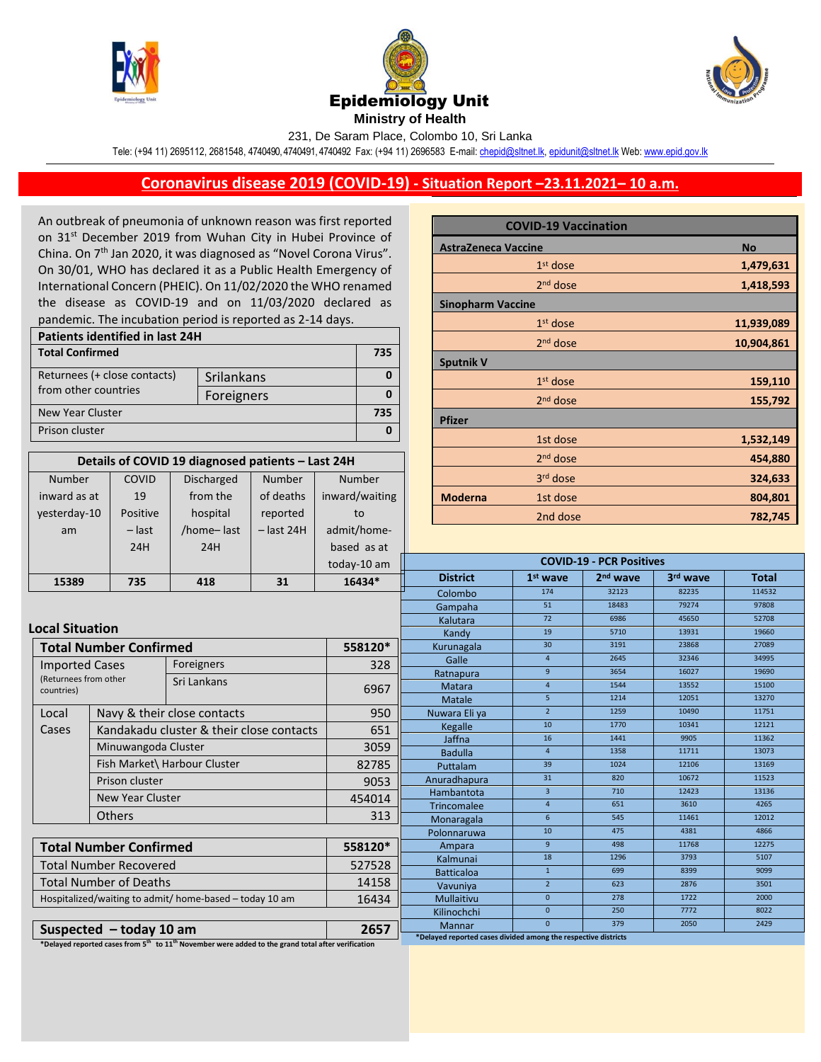





231, De Saram Place, Colombo 10, Sri Lanka

Tele: (+94 11) 2695112, 2681548, 4740490, 4740491, 4740492 Fax: (+94 11) 2696583 E-mail[: chepid@sltnet.lk,](mailto:chepi@sltnet.lk) [epidunit@sltnet.lk](mailto:epidunit@sltnet.lk) Web[: www.epid.gov.lk](http://www.epid.gov.lk/)

## **Coronavirus disease 2019 (COVID-19) - Situation Report –23.11.2021– 10 a.m.**

An outbreak of pneumonia of unknown reason was first reported on 31<sup>st</sup> December 2019 from Wuhan City in Hubei Province of China. On 7<sup>th</sup> Jan 2020, it was diagnosed as "Novel Corona Virus". On 30/01, WHO has declared it as a Public Health Emergency of International Concern (PHEIC). On 11/02/2020 the WHO renamed the disease as COVID-19 and on 11/03/2020 declared as pandemic. The incubation period is reported as 2-14 days.

| Patients identified in last 24H |            |     |
|---------------------------------|------------|-----|
| <b>Total Confirmed</b>          |            | 735 |
| Returnees (+ close contacts)    | Srilankans |     |
| from other countries            | Foreigners |     |
| New Year Cluster                |            | 735 |
| Prison cluster                  |            |     |

| Details of COVID 19 diagnosed patients - Last 24H |          |                   |              |                |  |  |
|---------------------------------------------------|----------|-------------------|--------------|----------------|--|--|
| <b>Number</b>                                     | COVID    | <b>Discharged</b> | Number       | Number         |  |  |
| inward as at                                      | 19       | from the          | of deaths    | inward/waiting |  |  |
| yesterday-10                                      | Positive | hospital          | reported     | to             |  |  |
| am                                                | $-$ last | /home-last        | $-$ last 24H | admit/home-    |  |  |
|                                                   | 24H      | 24H               |              | based as at    |  |  |
|                                                   |          |                   |              | today-10 am    |  |  |
| 15389                                             | 735      | 418               | 31           | 16434*         |  |  |

|                            | <b>COVID-19 Vaccination</b> |            |
|----------------------------|-----------------------------|------------|
| <b>AstraZeneca Vaccine</b> |                             | <b>No</b>  |
|                            | $1st$ dose                  | 1,479,631  |
|                            | 2 <sup>nd</sup> dose        | 1,418,593  |
| <b>Sinopharm Vaccine</b>   |                             |            |
|                            | $1st$ dose                  | 11,939,089 |
|                            | $2nd$ dose                  | 10,904,861 |
| <b>Sputnik V</b>           |                             |            |
|                            | $1st$ dose                  | 159,110    |
|                            | $2nd$ dose                  | 155,792    |
| <b>Pfizer</b>              |                             |            |
|                            | 1st dose                    | 1,532,149  |
|                            | 2 <sup>nd</sup> dose        | 454,880    |
|                            | 3 <sup>rd</sup> dose        | 324,633    |
| <b>Moderna</b>             | 1st dose                    | 804,801    |
|                            | 2nd dose                    | 782,745    |

|                        | ᄼᆩ                                                      | ᅩᅮℿ                                      |         | wascu asat  |                                                                          |                      |                                 |              |              |
|------------------------|---------------------------------------------------------|------------------------------------------|---------|-------------|--------------------------------------------------------------------------|----------------------|---------------------------------|--------------|--------------|
|                        |                                                         |                                          |         | today-10 am |                                                                          |                      | <b>COVID-19 - PCR Positives</b> |              |              |
| 15389                  | 735                                                     | 418                                      | 31      | 16434*      | <b>District</b>                                                          | 1 <sup>st</sup> wave | 2 <sup>nd</sup> wave            | 3rd wave     | <b>Total</b> |
|                        |                                                         |                                          |         |             | Colombo                                                                  | 174                  | 32123                           | 82235        | 114532       |
|                        |                                                         |                                          |         |             | Gampaha                                                                  | 51                   | 18483                           | 79274        | 97808        |
|                        |                                                         |                                          |         |             | Kalutara                                                                 | 72                   | 6986                            | 45650        | 52708        |
| <b>Local Situation</b> |                                                         |                                          |         |             | Kandy                                                                    | 19                   | 5710                            | 13931        | 19660        |
|                        | <b>Total Number Confirmed</b>                           |                                          |         | 558120*     | Kurunagala                                                               | 30                   | 3191                            | 23868        | 27089        |
| <b>Imported Cases</b>  |                                                         | Foreigners                               |         | 328         | Galle                                                                    | $\overline{4}$       | 2645                            | 32346        | 34995        |
| (Returnees from other  |                                                         | Sri Lankans                              |         |             | Ratnapura                                                                | 9                    | 3654                            | 16027        | 19690        |
| countries)             |                                                         |                                          |         | 6967        | Matara                                                                   | $\overline{4}$       | 1544                            | 13552        | 15100        |
|                        |                                                         |                                          |         |             | <b>Matale</b>                                                            | 5                    | 1214                            | 12051        | 13270        |
| Local                  |                                                         | Navy & their close contacts              |         | 950         | Nuwara Eli ya                                                            | $\overline{2}$       | 1259                            | 10490        | 11751        |
| Cases                  |                                                         | Kandakadu cluster & their close contacts |         | 651         | Kegalle                                                                  | 10                   | 1770                            | 10341        | 12121        |
|                        | Minuwangoda Cluster                                     |                                          |         | 3059        | Jaffna                                                                   | 16                   | 1441                            | 9905         | 11362        |
|                        |                                                         |                                          |         |             | <b>Badulla</b>                                                           | $\overline{4}$       | 1358                            | 11711        | 13073        |
|                        |                                                         | Fish Market\ Harbour Cluster             |         | 82785       | Puttalam                                                                 | 39                   | 1024                            | 12106        | 13169        |
|                        | Prison cluster                                          |                                          |         | 9053        | Anuradhapura                                                             | 31                   | 820                             | 10672        | 11523        |
|                        | <b>New Year Cluster</b>                                 |                                          |         | 454014      | Hambantota                                                               | $\overline{3}$       | 710                             | 12423        | 13136        |
|                        | <b>Others</b>                                           |                                          |         | 313         | Trincomalee                                                              | $\overline{4}$       | 651                             | 3610         | 4265         |
|                        |                                                         |                                          |         |             | Monaragala                                                               | 6                    | 545                             | 11461        | 12012        |
|                        |                                                         |                                          |         |             | Polonnaruwa                                                              | 10                   | 475                             | 4381         | 4866         |
|                        | <b>Total Number Confirmed</b>                           |                                          | 558120* | Ampara      | 9                                                                        | 498                  | 11768                           | 12275        |              |
|                        | <b>Total Number Recovered</b>                           |                                          | 527528  | Kalmunai    | 18                                                                       | 1296                 | 3793                            | 5107<br>9099 |              |
|                        |                                                         |                                          |         | 14158       | <b>Batticaloa</b>                                                        | $\mathbf{1}$         | 699<br>623                      | 8399<br>2876 | 3501         |
|                        | <b>Total Number of Deaths</b>                           |                                          |         | Vavuniya    | $2^{\circ}$<br>$\mathbf{0}$                                              | 278                  | 1722                            | 2000         |              |
|                        | Hospitalized/waiting to admit/ home-based - today 10 am |                                          | 16434   | Mullaitivu  | $\mathbf{0}$                                                             | 250                  | 7772                            | 8022         |              |
|                        |                                                         |                                          |         |             | Kilinochchi                                                              | $\Omega$             | 379                             | 2050         | 2429         |
|                        | Suspected - today 10 am                                 |                                          |         | 2657        | Mannar<br>*Delayed reported cases divided among the respective districts |                      |                                 |              |              |
|                        |                                                         |                                          |         |             |                                                                          |                      |                                 |              |              |

**\*Delayed reported cases from 5 th to 11th November were added to the grand total after verification**

 **\*Delayed reported cases divided among the respective districts**